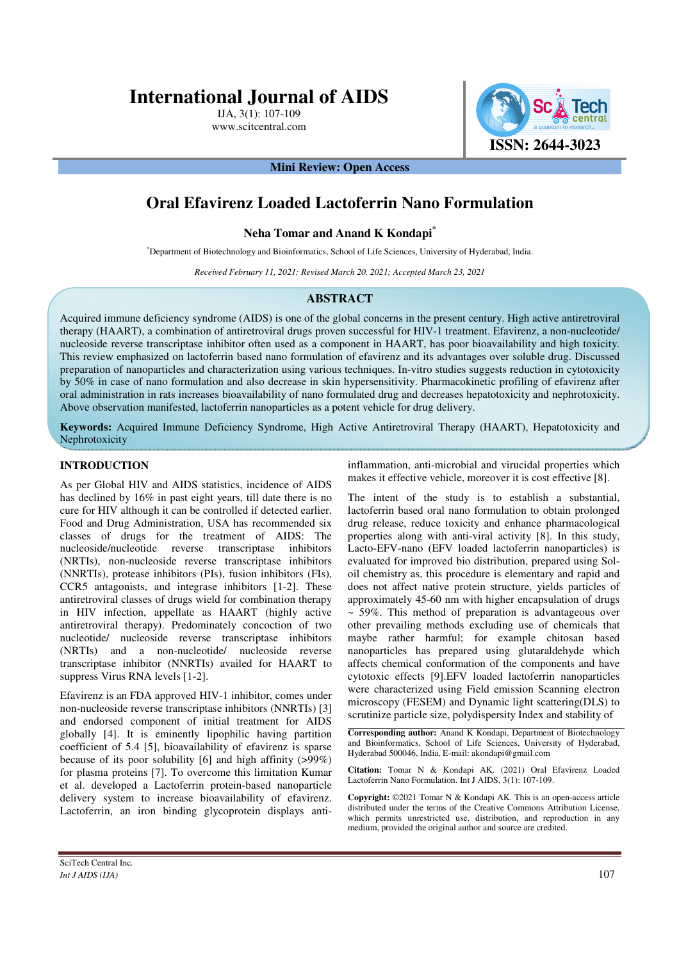# **International Journal of AIDS**

IJA, 3(1): 107-109 www.scitcentral.com



**Mini Review: Open Access** 

# **Oral Efavirenz Loaded Lactoferrin Nano Formulation**

#### **Neha Tomar and Anand K Kondapi\***

\*Department of Biotechnology and Bioinformatics, School of Life Sciences, University of Hyderabad, India.

*Received February 11, 2021; Revised March 20, 2021; Accepted March 23, 2021*

#### **ABSTRACT**

Acquired immune deficiency syndrome (AIDS) is one of the global concerns in the present century. High active antiretroviral therapy (HAART), a combination of antiretroviral drugs proven successful for HIV-1 treatment. Efavirenz, a non-nucleotide/ nucleoside reverse transcriptase inhibitor often used as a component in HAART, has poor bioavailability and high toxicity. This review emphasized on lactoferrin based nano formulation of efavirenz and its advantages over soluble drug. Discussed preparation of nanoparticles and characterization using various techniques. In-vitro studies suggests reduction in cytotoxicity by 50% in case of nano formulation and also decrease in skin hypersensitivity. Pharmacokinetic profiling of efavirenz after oral administration in rats increases bioavailability of nano formulated drug and decreases hepatotoxicity and nephrotoxicity. Above observation manifested, lactoferrin nanoparticles as a potent vehicle for drug delivery.

**Keywords:** Acquired Immune Deficiency Syndrome, High Active Antiretroviral Therapy (HAART), Hepatotoxicity and Nephrotoxicity

### **INTRODUCTION**

As per Global HIV and AIDS statistics, incidence of AIDS has declined by 16% in past eight years, till date there is no cure for HIV although it can be controlled if detected earlier. Food and Drug Administration, USA has recommended six classes of drugs for the treatment of AIDS: The nucleoside/nucleotide reverse transcriptase inhibitors (NRTIs), non-nucleoside reverse transcriptase inhibitors (NNRTIs), protease inhibitors (PIs), fusion inhibitors (FIs), CCR5 antagonists, and integrase inhibitors [1-2]. These antiretroviral classes of drugs wield for combination therapy in HIV infection, appellate as HAART (highly active antiretroviral therapy). Predominately concoction of two nucleotide/ nucleoside reverse transcriptase inhibitors (NRTIs) and a non-nucleotide/ nucleoside reverse transcriptase inhibitor (NNRTIs) availed for HAART to suppress Virus RNA levels [1-2].

Efavirenz is an FDA approved HIV-1 inhibitor, comes under non-nucleoside reverse transcriptase inhibitors (NNRTIs) [3] and endorsed component of initial treatment for AIDS globally [4]. It is eminently lipophilic having partition coefficient of 5.4 [5], bioavailability of efavirenz is sparse because of its poor solubility [6] and high affinity (>99%) for plasma proteins [7]. To overcome this limitation Kumar et al. developed a Lactoferrin protein-based nanoparticle delivery system to increase bioavailability of efavirenz. Lactoferrin, an iron binding glycoprotein displays antiinflammation, anti-microbial and virucidal properties which makes it effective vehicle, moreover it is cost effective [8].

The intent of the study is to establish a substantial, lactoferrin based oral nano formulation to obtain prolonged drug release, reduce toxicity and enhance pharmacological properties along with anti-viral activity [8]. In this study, Lacto-EFV-nano (EFV loaded lactoferrin nanoparticles) is evaluated for improved bio distribution, prepared using Soloil chemistry as, this procedure is elementary and rapid and does not affect native protein structure, yields particles of approximately 45-60 nm with higher encapsulation of drugs  $\sim$  59%. This method of preparation is advantageous over other prevailing methods excluding use of chemicals that maybe rather harmful; for example chitosan based nanoparticles has prepared using glutaraldehyde which affects chemical conformation of the components and have cytotoxic effects [9].EFV loaded lactoferrin nanoparticles were characterized using Field emission Scanning electron microscopy (FESEM) and Dynamic light scattering(DLS) to scrutinize particle size, polydispersity Index and stability of

**Corresponding author:** Anand K Kondapi, Department of Biotechnology and Bioinformatics, School of Life Sciences, University of Hyderabad, Hyderabad 500046, India, E-mail: akondapi@gmail.com

**Citation:** Tomar N & Kondapi AK. (2021) Oral Efavirenz Loaded Lactoferrin Nano Formulation. Int J AIDS, 3(1): 107-109.

**Copyright:** ©2021 Tomar N & Kondapi AK. This is an open-access article distributed under the terms of the Creative Commons Attribution License, which permits unrestricted use, distribution, and reproduction in any medium, provided the original author and source are credited.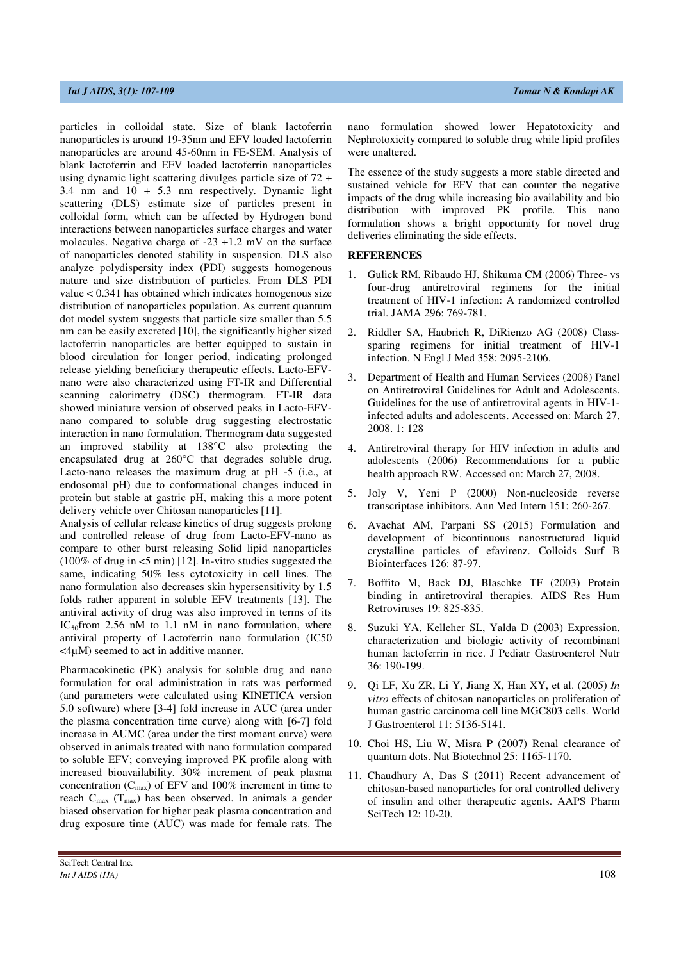particles in colloidal state. Size of blank lactoferrin nanoparticles is around 19-35nm and EFV loaded lactoferrin nanoparticles are around 45-60nm in FE-SEM. Analysis of blank lactoferrin and EFV loaded lactoferrin nanoparticles using dynamic light scattering divulges particle size of 72 + 3.4 nm and 10 + 5.3 nm respectively. Dynamic light scattering (DLS) estimate size of particles present in colloidal form, which can be affected by Hydrogen bond interactions between nanoparticles surface charges and water molecules. Negative charge of -23 +1.2 mV on the surface of nanoparticles denoted stability in suspension. DLS also analyze polydispersity index (PDI) suggests homogenous nature and size distribution of particles. From DLS PDI value < 0.341 has obtained which indicates homogenous size distribution of nanoparticles population. As current quantum dot model system suggests that particle size smaller than 5.5 nm can be easily excreted [10], the significantly higher sized lactoferrin nanoparticles are better equipped to sustain in blood circulation for longer period, indicating prolonged release yielding beneficiary therapeutic effects. Lacto-EFVnano were also characterized using FT-IR and Differential scanning calorimetry (DSC) thermogram. FT-IR data showed miniature version of observed peaks in Lacto-EFVnano compared to soluble drug suggesting electrostatic interaction in nano formulation. Thermogram data suggested an improved stability at 138**°**C also protecting the encapsulated drug at 260**°**C that degrades soluble drug. Lacto-nano releases the maximum drug at pH -5 (i.e., at endosomal pH) due to conformational changes induced in protein but stable at gastric pH, making this a more potent delivery vehicle over Chitosan nanoparticles [11].

Analysis of cellular release kinetics of drug suggests prolong and controlled release of drug from Lacto-EFV-nano as compare to other burst releasing Solid lipid nanoparticles (100% of drug in <5 min) [12]. In-vitro studies suggested the same, indicating 50% less cytotoxicity in cell lines. The nano formulation also decreases skin hypersensitivity by 1.5 folds rather apparent in soluble EFV treatments [13]. The antiviral activity of drug was also improved in terms of its IC<sub>50</sub>from 2.56 nM to 1.1 nM in nano formulation, where antiviral property of Lactoferrin nano formulation (IC50  $\langle 4\mu M \rangle$  seemed to act in additive manner.

Pharmacokinetic (PK) analysis for soluble drug and nano formulation for oral administration in rats was performed (and parameters were calculated using KINETICA version 5.0 software) where [3-4] fold increase in AUC (area under the plasma concentration time curve) along with [6-7] fold increase in AUMC (area under the first moment curve) were observed in animals treated with nano formulation compared to soluble EFV; conveying improved PK profile along with increased bioavailability. 30% increment of peak plasma concentration  $(C_{\text{max}})$  of EFV and 100% increment in time to reach Cmax (Tmax) has been observed. In animals a gender biased observation for higher peak plasma concentration and drug exposure time (AUC) was made for female rats. The

nano formulation showed lower Hepatotoxicity and Nephrotoxicity compared to soluble drug while lipid profiles were unaltered.

The essence of the study suggests a more stable directed and sustained vehicle for EFV that can counter the negative impacts of the drug while increasing bio availability and bio distribution with improved PK profile. This nano formulation shows a bright opportunity for novel drug deliveries eliminating the side effects.

#### **REFERENCES**

- 1. Gulick RM, Ribaudo HJ, Shikuma CM (2006) Three- vs four-drug antiretroviral regimens for the initial treatment of HIV-1 infection: A randomized controlled trial. JAMA 296: 769-781.
- 2. Riddler SA, Haubrich R, DiRienzo AG (2008) Classsparing regimens for initial treatment of HIV-1 infection. N Engl J Med 358: 2095-2106.
- 3. Department of Health and Human Services (2008) Panel on Antiretroviral Guidelines for Adult and Adolescents. Guidelines for the use of antiretroviral agents in HIV-1 infected adults and adolescents. Accessed on: March 27, 2008. 1: 128
- 4. Antiretroviral therapy for HIV infection in adults and adolescents (2006) Recommendations for a public health approach RW. Accessed on: March 27, 2008.
- 5. Joly V, Yeni P (2000) Non-nucleoside reverse transcriptase inhibitors. Ann Med Intern 151: 260-267.
- 6. Avachat AM, Parpani SS (2015) Formulation and development of bicontinuous nanostructured liquid crystalline particles of efavirenz. Colloids Surf B Biointerfaces 126: 87-97.
- 7. Boffito M, Back DJ, Blaschke TF (2003) Protein binding in antiretroviral therapies. AIDS Res Hum Retroviruses 19: 825-835.
- 8. Suzuki YA, Kelleher SL, Yalda D (2003) Expression, characterization and biologic activity of recombinant human lactoferrin in rice. J Pediatr Gastroenterol Nutr 36: 190-199.
- 9. Qi LF, Xu ZR, Li Y, Jiang X, Han XY, et al. (2005) *In vitro* effects of chitosan nanoparticles on proliferation of human gastric carcinoma cell line MGC803 cells. World J Gastroenterol 11: 5136-5141.
- 10. Choi HS, Liu W, Misra P (2007) Renal clearance of quantum dots. Nat Biotechnol 25: 1165-1170.
- 11. Chaudhury A, Das S (2011) Recent advancement of chitosan-based nanoparticles for oral controlled delivery of insulin and other therapeutic agents. AAPS Pharm SciTech 12: 10-20.